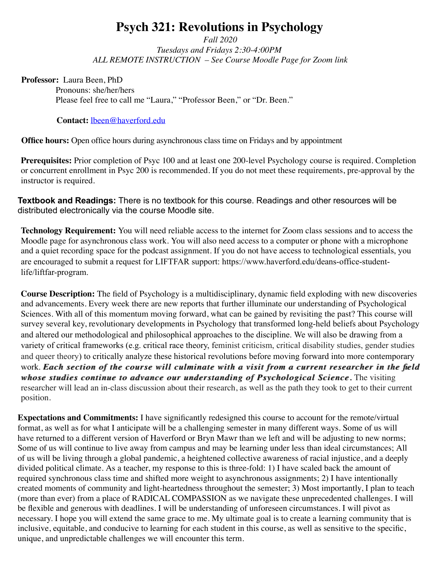# **Psych 321: Revolutions in Psychology**

*Fall 2020 Tuesdays and Fridays 2:30-4:00PM ALL REMOTE INSTRUCTION – See Course Moodle Page for Zoom link*

**Professor:** Laura Been, PhD

Pronouns: she/her/hers Please feel free to call me "Laura," "Professor Been," or "Dr. Been."

#### **Contact:** lbeen@haverford.edu

**Office hours:** Open office hours during asynchronous class time on Fridays and by appointment

**Prerequisites:** Prior completion of Psyc 100 and at least one 200-level Psychology course is required. Completion or concurrent enrollment in Psyc 200 is recommended. If you do not meet these requirements, pre-approval by the instructor is required.

**Textbook and Readings:** There is no textbook for this course. Readings and other resources will be distributed electronically via the course Moodle site.

**Technology Requirement:** You will need reliable access to the internet for Zoom class sessions and to access the Moodle page for asynchronous class work. You will also need access to a computer or phone with a microphone and a quiet recording space for the podcast assignment. If you do not have access to technological essentials, you are encouraged to submit a request for LIFTFAR support: https://www.haverford.edu/deans-office-studentlife/liftfar-program.

**Course Description:** The field of Psychology is a multidisciplinary, dynamic field exploding with new discoveries and advancements. Every week there are new reports that further illuminate our understanding of Psychological Sciences. With all of this momentum moving forward, what can be gained by revisiting the past? This course will survey several key, revolutionary developments in Psychology that transformed long-held beliefs about Psychology and altered our methodological and philosophical approaches to the discipline. We will also be drawing from a variety of critical frameworks (e.g. critical race theory, feminist criticism, critical disability studies, gender studies and queer theory) to critically analyze these historical revolutions before moving forward into more contemporary work. *Each section of the course will culminate with a visit from a current researcher in the field whose studies continue to advance our understanding of Psychological Science.* The visiting researcher will lead an in-class discussion about their research, as well as the path they took to get to their current position.

**Expectations and Commitments:** I have significantly redesigned this course to account for the remote/virtual format, as well as for what I anticipate will be a challenging semester in many different ways. Some of us will have returned to a different version of Haverford or Bryn Mawr than we left and will be adjusting to new norms; Some of us will continue to live away from campus and may be learning under less than ideal circumstances; All of us will be living through a global pandemic, a heightened collective awareness of racial injustice, and a deeply divided political climate. As a teacher, my response to this is three-fold: 1) I have scaled back the amount of required synchronous class time and shifted more weight to asynchronous assignments; 2) I have intentionally created moments of community and light-heartedness throughout the semester; 3) Most importantly, I plan to teach (more than ever) from a place of RADICAL COMPASSION as we navigate these unprecedented challenges. I will be flexible and generous with deadlines. I will be understanding of unforeseen circumstances. I will pivot as necessary. I hope you will extend the same grace to me. My ultimate goal is to create a learning community that is inclusive, equitable, and conducive to learning for each student in this course, as well as sensitive to the specific, unique, and unpredictable challenges we will encounter this term.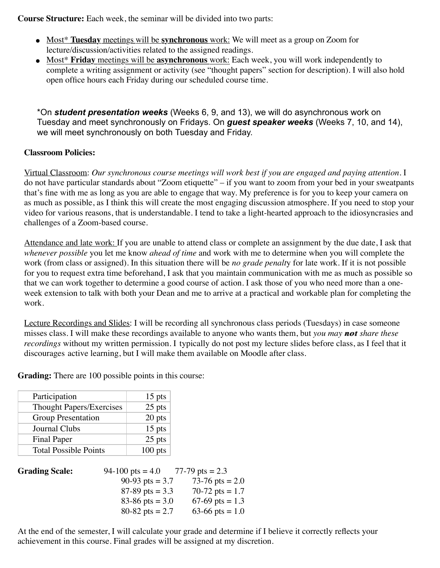**Course Structure:** Each week, the seminar will be divided into two parts:

- Most\* **Tuesday** meetings will be **synchronous** work: We will meet as a group on Zoom for lecture/discussion/activities related to the assigned readings.
- Most\* **Friday** meetings will be **asynchronous** work: Each week, you will work independently to complete a writing assignment or activity (see "thought papers" section for description). I will also hold open office hours each Friday during our scheduled course time.

\*On *student presentation weeks* (Weeks 6, 9, and 13), we will do asynchronous work on Tuesday and meet synchronously on Fridays. On *guest speaker weeks* (Weeks 7, 10, and 14), we will meet synchronously on both Tuesday and Friday.

## **Classroom Policies:**

Virtual Classroom: *Our synchronous course meetings will work best if you are engaged and paying attention.* I do not have particular standards about "Zoom etiquette" – if you want to zoom from your bed in your sweatpants that's fine with me as long as you are able to engage that way. My preference is for you to keep your camera on as much as possible, as I think this will create the most engaging discussion atmosphere. If you need to stop your video for various reasons, that is understandable. I tend to take a light-hearted approach to the idiosyncrasies and challenges of a Zoom-based course.

Attendance and late work: If you are unable to attend class or complete an assignment by the due date, I ask that *whenever possible* you let me know *ahead of time* and work with me to determine when you will complete the work (from class or assigned). In this situation there will be *no grade penalt*y for late work. If it is not possible for you to request extra time beforehand, I ask that you maintain communication with me as much as possible so that we can work together to determine a good course of action. I ask those of you who need more than a oneweek extension to talk with both your Dean and me to arrive at a practical and workable plan for completing the work.

Lecture Recordings and Slides: I will be recording all synchronous class periods (Tuesdays) in case someone misses class. I will make these recordings available to anyone who wants them, but *you may not not share these recordings* without my written permission. I typically do not post my lecture slides before class, as I feel that it discourages active learning, but I will make them available on Moodle after class.

**Grading:** There are 100 possible points in this course:

| Participation                   | $15$ pts  |
|---------------------------------|-----------|
| <b>Thought Papers/Exercises</b> | 25 pts    |
| <b>Group Presentation</b>       | 20 pts    |
| Journal Clubs                   | 15 pts    |
| <b>Final Paper</b>              | 25 pts    |
| <b>Total Possible Points</b>    | $100$ pts |

| <b>Grading Scale:</b> | 94-100 pts = $4.0$ | 77-79 pts $= 2.3$ |
|-----------------------|--------------------|-------------------|
|                       | 90-93 pts = $3.7$  | 73-76 pts = $2.0$ |
|                       | 87-89 pts = $3.3$  | 70-72 pts = $1.7$ |
|                       | 83-86 pts = $3.0$  | 67-69 pts = $1.3$ |
|                       | 80-82 pts = $2.7$  | 63-66 pts = $1.0$ |

At the end of the semester, I will calculate your grade and determine if I believe it correctly reflects your achievement in this course. Final grades will be assigned at my discretion.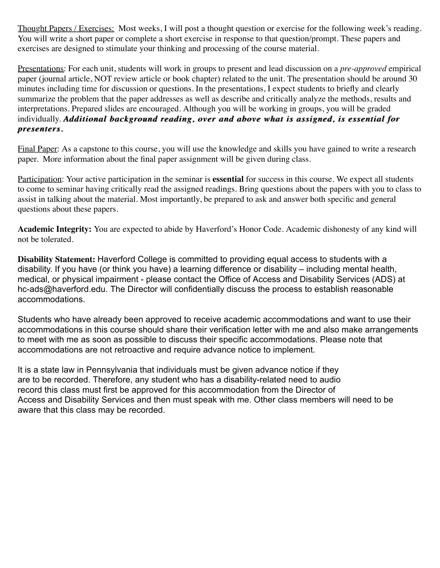Thought Papers / Exercises: Most weeks, I will post a thought question or exercise for the following week's reading. You will write a short paper or complete a short exercise in response to that question/prompt. These papers and exercises are designed to stimulate your thinking and processing of the course material.

achievement in this course. Final grades will be assigned at my discretion.

Presentations: For each unit, students will work in groups to present and lead discussion on a *pre-approved* empirical paper (journal article, NOT review article or book chapter) related to the unit. The presentation should be around 30 minutes including time for discussion or questions. In the presentations, I expect students to briefly and clearly summarize the problem that the paper addresses as well as describe and critically analyze the methods, results and interpretations. Prepared slides are encouraged. Although you will be working in groups, you will be graded individually. **Additional background reading, over and above what is assigned, is essential for** *presenters. presenters.*

Final Paper: As a capstone to this course, you will use the knowledge and skills you have gained to write a research paper. More information about the final paper assignment will be given during class.

Participation: Your active participation in the seminar is **essential** for success in this course. We expect all students to come to seminar having critically read the assigned readings. Bring questions about the papers with you to class to assist in talking about the material. Most importantly, be prepared to ask and answer both specific and general questions about these papers.

**Academic Integrity:** You are expected to abide by Haverford's Honor Code. Academic dishonesty of any kind will not be tolerated.

**Disability Statement:** Haverford College is committed to providing equal access to students with a disability. If you have (or think you have) a learning difference or disability – including mental health, medical, or physical impairment - please contact the Office of Access and Disability Services (ADS) at hc-ads@haverford.edu. The Director will confidentially discuss the process to establish reasonable accommodations.

Students who have already been approved to receive academic accommodations and want to use their accommodations in this course should share their verification letter with me and also make arrangements to meet with me as soon as possible to discuss their specific accommodations. Please note that accommodations are not retroactive and require advance notice to implement.

It is a state law in Pennsylvania that individuals must be given advance notice if they are to be recorded. Therefore, any student who has a disability-related need to audio record this class must first be approved for this accommodation from the Director of Access and Disability Services and then must speak with me. Other class members will need to be aware that this class may be recorded.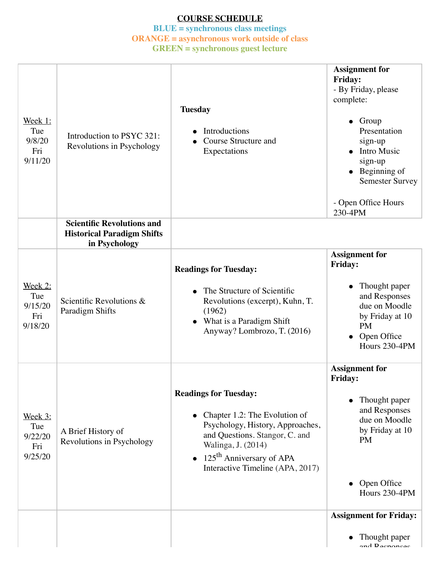# **COURSE SCHEDULE**

### **BLUE = synchronous class meetings ORANGE = asynchronous work outside of class GREEN = synchronous guest lecture**

| <u>Week 1:</u><br>Tue<br>9/8/20<br>Fri<br>9/11/20  | Introduction to PSYC 321:<br>Revolutions in Psychology                                  | <b>Tuesday</b><br>Introductions<br>Course Structure and<br>Expectations                                                                                                                                                                              | <b>Assignment for</b><br>Friday:<br>- By Friday, please<br>complete:<br>$\bullet$ Group<br>Presentation<br>sign-up<br><b>Intro Music</b><br>sign-up<br>$\bullet$ Beginning of<br><b>Semester Survey</b><br>- Open Office Hours<br>230-4PM |
|----------------------------------------------------|-----------------------------------------------------------------------------------------|------------------------------------------------------------------------------------------------------------------------------------------------------------------------------------------------------------------------------------------------------|-------------------------------------------------------------------------------------------------------------------------------------------------------------------------------------------------------------------------------------------|
|                                                    | <b>Scientific Revolutions and</b><br><b>Historical Paradigm Shifts</b><br>in Psychology |                                                                                                                                                                                                                                                      |                                                                                                                                                                                                                                           |
| Week 2:<br>Tue<br>9/15/20<br>Fri<br>9/18/20        | Scientific Revolutions &<br>Paradigm Shifts                                             | <b>Readings for Tuesday:</b><br>The Structure of Scientific<br>Revolutions (excerpt), Kuhn, T.<br>(1962)<br>What is a Paradigm Shift<br>$\bullet$<br>Anyway? Lombrozo, T. (2016)                                                                     | <b>Assignment for</b><br><b>Friday:</b><br>Thought paper<br>and Responses<br>due on Moodle<br>by Friday at 10<br><b>PM</b><br>Open Office<br>Hours 230-4PM                                                                                |
| <u>Week 3:</u><br>Tue<br>9/22/20<br>Fri<br>9/25/20 | A Brief History of<br>Revolutions in Psychology                                         | <b>Readings for Tuesday:</b><br>Chapter 1.2: The Evolution of<br>$\bullet$<br>Psychology, History, Approaches,<br>and Questions. Stangor, C. and<br>Walinga, J. (2014)<br>• $125^{\text{th}}$ Anniversary of APA<br>Interactive Timeline (APA, 2017) | <b>Assignment for</b><br><b>Friday:</b><br>Thought paper<br>and Responses<br>due on Moodle<br>by Friday at 10<br><b>PM</b><br>• Open Office<br>Hours 230-4PM                                                                              |
|                                                    |                                                                                         |                                                                                                                                                                                                                                                      | <b>Assignment for Friday:</b><br>Thought paper<br>and Dagmangag                                                                                                                                                                           |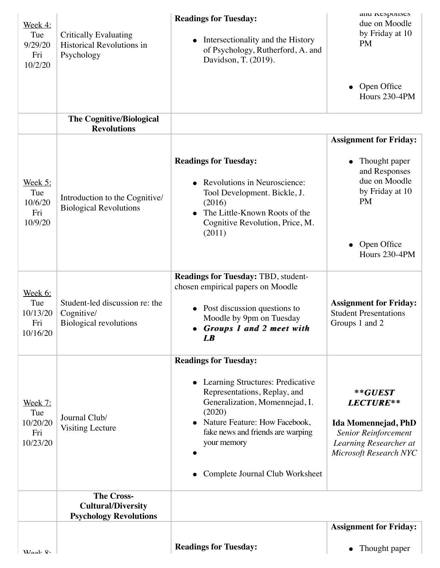| Week 4:<br>Tue<br>9/29/20<br>Fri<br>10/2/20          | <b>Critically Evaluating</b><br>Historical Revolutions in<br>Psychology         | <b>Readings for Tuesday:</b><br>Intersectionality and the History<br>$\bullet$<br>of Psychology, Rutherford, A. and<br>Davidson, T. (2019).                                                                                                                          | anu responses<br>due on Moodle<br>by Friday at 10<br><b>PM</b>                                                                       |
|------------------------------------------------------|---------------------------------------------------------------------------------|----------------------------------------------------------------------------------------------------------------------------------------------------------------------------------------------------------------------------------------------------------------------|--------------------------------------------------------------------------------------------------------------------------------------|
|                                                      |                                                                                 |                                                                                                                                                                                                                                                                      | $\bullet$ Open Office<br>Hours 230-4PM                                                                                               |
|                                                      | The Cognitive/Biological<br><b>Revolutions</b>                                  |                                                                                                                                                                                                                                                                      |                                                                                                                                      |
|                                                      |                                                                                 |                                                                                                                                                                                                                                                                      | <b>Assignment for Friday:</b>                                                                                                        |
| Week 5:<br>Tue<br>10/6/20<br>Fri<br>10/9/20          | Introduction to the Cognitive/<br><b>Biological Revolutions</b>                 | <b>Readings for Tuesday:</b><br>Revolutions in Neuroscience:<br>$\bullet$<br>Tool Development. Bickle, J.<br>(2016)<br>The Little-Known Roots of the<br>$\bullet$<br>Cognitive Revolution, Price, M.<br>(2011)                                                       | Thought paper<br>and Responses<br>due on Moodle<br>by Friday at 10<br><b>PM</b><br>Open Office<br>Hours 230-4PM                      |
| <u>Week 6:</u><br>Tue<br>10/13/20<br>Fri<br>10/16/20 | Student-led discussion re: the<br>Cognitive/<br><b>Biological revolutions</b>   | Readings for Tuesday: TBD, student-<br>chosen empirical papers on Moodle<br>Post discussion questions to<br>Moodle by 9pm on Tuesday<br><b>Groups 1 and 2 meet with</b><br>$\boldsymbol{L}\boldsymbol{B}$                                                            | <b>Assignment for Friday:</b><br><b>Student Presentations</b><br>Groups 1 and 2                                                      |
| Week 7:<br>Tue<br>10/20/20<br>Fri<br>10/23/20        | Journal Club/<br><b>Visiting Lecture</b>                                        | <b>Readings for Tuesday:</b><br>Learning Structures: Predicative<br>Representations, Replay, and<br>Generalization, Momennejad, I.<br>(2020)<br>Nature Feature: How Facebook,<br>fake news and friends are warping<br>your memory<br>Complete Journal Club Worksheet | $*$ * $GUEST$<br>LECTURE**<br>Ida Momennejad, PhD<br><b>Senior Reinforcement</b><br>Learning Researcher at<br>Microsoft Research NYC |
|                                                      | <b>The Cross-</b><br><b>Cultural/Diversity</b><br><b>Psychology Revolutions</b> |                                                                                                                                                                                                                                                                      |                                                                                                                                      |
|                                                      |                                                                                 |                                                                                                                                                                                                                                                                      | <b>Assignment for Friday:</b>                                                                                                        |
| $W_{\alpha\alpha}l_{\alpha}Q$ .                      |                                                                                 | <b>Readings for Tuesday:</b>                                                                                                                                                                                                                                         | Thought paper                                                                                                                        |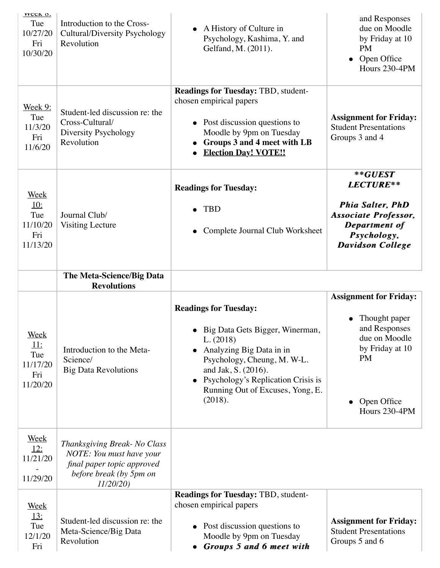| <b>VVCCK O.</b><br>Tue<br>10/27/20<br>Fri<br>10/30/20           | Introduction to the Cross-<br>Cultural/Diversity Psychology<br>Revolution                                                     | A History of Culture in<br>Psychology, Kashima, Y. and<br>Gelfand, M. (2011).                                                                                                                                                                         | and Responses<br>due on Moodle<br>by Friday at 10<br><b>PM</b><br>Open Office<br>Hours 230-4PM                                                   |
|-----------------------------------------------------------------|-------------------------------------------------------------------------------------------------------------------------------|-------------------------------------------------------------------------------------------------------------------------------------------------------------------------------------------------------------------------------------------------------|--------------------------------------------------------------------------------------------------------------------------------------------------|
| <b>Week 9:</b><br>Tue<br>11/3/20<br>Fri<br>11/6/20              | Student-led discussion re: the<br>Cross-Cultural/<br>Diversity Psychology<br>Revolution                                       | <b>Readings for Tuesday: TBD, student-</b><br>chosen empirical papers<br>Post discussion questions to<br>Moodle by 9pm on Tuesday<br><b>Groups 3 and 4 meet with LB</b><br><b>Election Day! VOTE!!</b>                                                | <b>Assignment for Friday:</b><br><b>Student Presentations</b><br>Groups 3 and 4                                                                  |
| <b>Week</b><br><u>10:</u><br>Tue<br>11/10/20<br>Fri<br>11/13/20 | Journal Club/<br><b>Visiting Lecture</b>                                                                                      | <b>Readings for Tuesday:</b><br><b>TBD</b><br>Complete Journal Club Worksheet                                                                                                                                                                         | **GUEST<br>LECTURE**<br><b>Phia Salter, PhD</b><br><b>Associate Professor,</b><br>Department of<br>Psychology,<br><b>Davidson College</b>        |
|                                                                 | The Meta-Science/Big Data<br><b>Revolutions</b>                                                                               |                                                                                                                                                                                                                                                       |                                                                                                                                                  |
| <u>Week</u><br><u>11:</u><br>Tue<br>11/17/20<br>Fri<br>11/20/20 | Introduction to the Meta-<br>Science/<br><b>Big Data Revolutions</b>                                                          | <b>Readings for Tuesday:</b><br>· Big Data Gets Bigger, Winerman,<br>L. (2018)<br>Analyzing Big Data in in<br>Psychology, Cheung, M. W-L.<br>and Jak, S. (2016).<br>Psychology's Replication Crisis is<br>Running Out of Excuses, Yong, E.<br>(2018). | <b>Assignment for Friday:</b><br>Thought paper<br>and Responses<br>due on Moodle<br>by Friday at 10<br><b>PM</b><br>Open Office<br>Hours 230-4PM |
| <u>Week</u><br><u>12:</u><br>11/21/20<br>11/29/20               | Thanksgiving Break- No Class<br>NOTE: You must have your<br>final paper topic approved<br>before break (by 5pm on<br>11/20/20 |                                                                                                                                                                                                                                                       |                                                                                                                                                  |
| <b>Week</b><br><u>13:</u><br>Tue<br>12/1/20<br>Fri              | Student-led discussion re: the<br>Meta-Science/Big Data<br>Revolution                                                         | Readings for Tuesday: TBD, student-<br>chosen empirical papers<br>Post discussion questions to<br>Moodle by 9pm on Tuesday<br><b>Groups 5 and 6 meet with</b><br>$\bullet$                                                                            | <b>Assignment for Friday:</b><br><b>Student Presentations</b><br>Groups 5 and 6                                                                  |